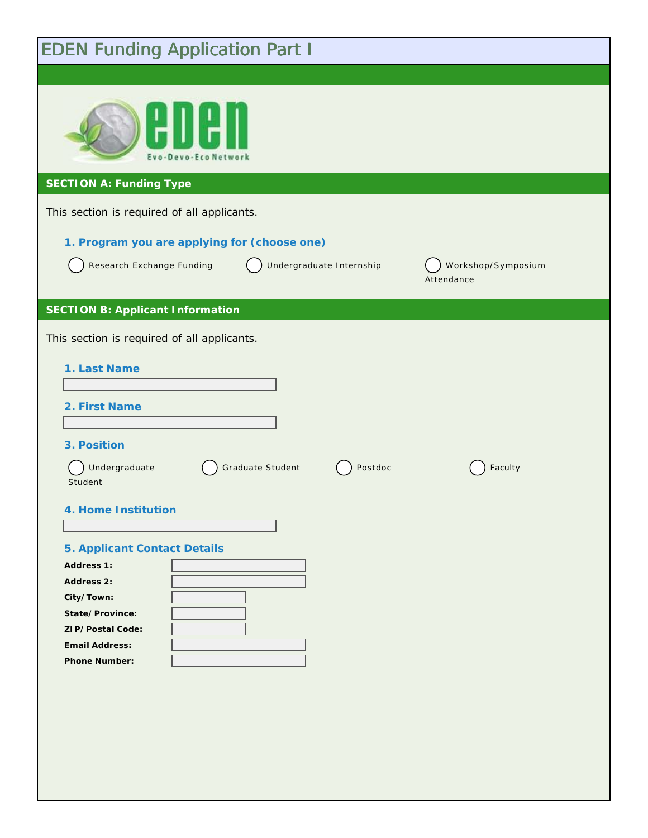| <b>EDEN Funding Application Part I</b>                                                                                                                                                                                                                                             |                                  |
|------------------------------------------------------------------------------------------------------------------------------------------------------------------------------------------------------------------------------------------------------------------------------------|----------------------------------|
| Evo<br>- Devo-Eco Networl                                                                                                                                                                                                                                                          |                                  |
| <b>SECTION A: Funding Type</b>                                                                                                                                                                                                                                                     |                                  |
| This section is required of all applicants.                                                                                                                                                                                                                                        |                                  |
| 1. Program you are applying for (choose one)<br>Undergraduate Internship<br>Research Exchange Funding                                                                                                                                                                              | Workshop/Symposium<br>Attendance |
| <b>SECTION B: Applicant Information</b>                                                                                                                                                                                                                                            |                                  |
| This section is required of all applicants.                                                                                                                                                                                                                                        |                                  |
| 1. Last Name<br>2. First Name<br>3. Position<br>Undergraduate<br>Graduate Student<br>Postdoc<br>Student<br>4. Home Institution<br>5. Applicant Contact Details<br>Address 1:<br>Address 2:<br>City/Town:<br>State/Province:<br>ZIP/Postal Code:<br>Email Address:<br>Phone Number: | Faculty                          |